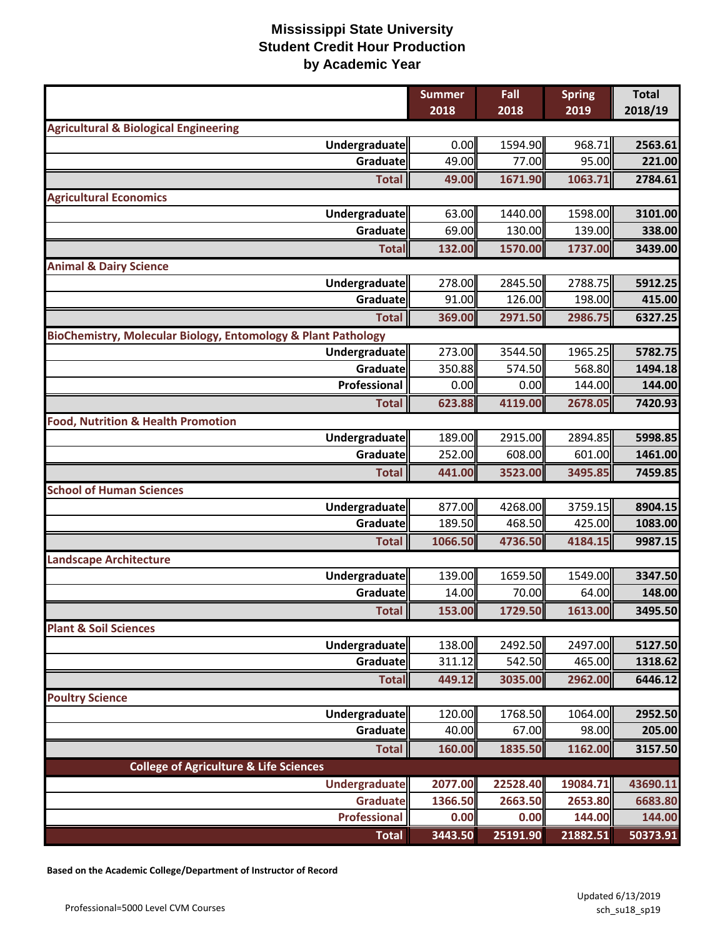|                                                               | <b>Summer</b><br>2018 | Fall<br>2018 | <b>Spring</b><br>2019 | <b>Total</b><br>2018/19 |
|---------------------------------------------------------------|-----------------------|--------------|-----------------------|-------------------------|
| <b>Agricultural &amp; Biological Engineering</b>              |                       |              |                       |                         |
| Undergraduate                                                 | 0.00                  | 1594.90      | 968.71                | 2563.61                 |
| Graduate                                                      | 49.00                 | 77.00        | 95.00                 | 221.00                  |
| <b>Total</b>                                                  | 49.00                 | 1671.90      | 1063.71               | 2784.61                 |
| <b>Agricultural Economics</b>                                 |                       |              |                       |                         |
| <b>Undergraduate</b>                                          | 63.00                 | 1440.00      | 1598.00               | 3101.00                 |
| Graduate                                                      | 69.00                 | 130.00       | 139.00                | 338.00                  |
| <b>Total</b>                                                  | 132.00                | 1570.00      | 1737.00               | 3439.00                 |
| <b>Animal &amp; Dairy Science</b>                             |                       |              |                       |                         |
| Undergraduate                                                 | 278.00                | 2845.50      | 2788.75               | 5912.25                 |
| Graduate                                                      | 91.00                 | 126.00       | 198.00                | 415.00                  |
| <b>Total</b>                                                  | 369.00                | 2971.50      | 2986.75               | 6327.25                 |
| BioChemistry, Molecular Biology, Entomology & Plant Pathology |                       |              |                       |                         |
| Undergraduate                                                 | 273.00                | 3544.50      | 1965.25               | 5782.75                 |
| Graduate                                                      | 350.88                | 574.50       | 568.80                | 1494.18                 |
| Professional                                                  | 0.00                  | 0.00         | 144.00                | 144.00                  |
| <b>Total</b>                                                  | 623.88                | 4119.00      | 2678.05               | 7420.93                 |
| <b>Food, Nutrition &amp; Health Promotion</b>                 |                       |              |                       |                         |
| Undergraduate                                                 | 189.00                | 2915.00      | 2894.85               | 5998.85                 |
| Graduate                                                      | 252.00                | 608.00       | 601.00                | 1461.00                 |
| <b>Total</b>                                                  | 441.00                | 3523.00      | 3495.85               | 7459.85                 |
| <b>School of Human Sciences</b>                               |                       |              |                       |                         |
| Undergraduate                                                 | 877.00                | 4268.00      | 3759.15               | 8904.15                 |
| Graduate                                                      | 189.50                | 468.50       | 425.00                | 1083.00                 |
| <b>Total</b>                                                  | 1066.50               | 4736.50      | 4184.15               | 9987.15                 |
| <b>Landscape Architecture</b>                                 |                       |              |                       |                         |
| <b>Undergraduate</b>                                          | 139.00                | 1659.50      | 1549.00               | 3347.50                 |
| Graduate                                                      | 14.00                 | 70.00        | 64.00                 | 148.00                  |
| <b>Total</b>                                                  | 153.00                | 1729.50      | 1613.00               | 3495.50                 |
| <b>Plant &amp; Soil Sciences</b>                              |                       |              |                       |                         |
| <b>Undergraduate</b>                                          | 138.00                | 2492.50      | 2497.00               | 5127.50                 |
| Graduate                                                      | 311.12                | 542.50       | 465.00                | 1318.62                 |
| <b>Total</b>                                                  | 449.12                | 3035.00      | 2962.00               | 6446.12                 |
| <b>Poultry Science</b>                                        |                       |              |                       |                         |
| <b>Undergraduate</b>                                          | 120.00                | 1768.50      | 1064.00               | 2952.50                 |
| Graduate                                                      | 40.00                 | 67.00        | 98.00                 | 205.00                  |
| <b>Total</b>                                                  | 160.00                | 1835.50      | 1162.00               | 3157.50                 |
| <b>College of Agriculture &amp; Life Sciences</b>             |                       |              |                       |                         |
| <b>Undergraduate</b>                                          | 2077.00               | 22528.40     | 19084.71              | 43690.11                |
| <b>Graduate</b>                                               | 1366.50               | 2663.50      | 2653.80               | 6683.80                 |
| <b>Professional</b>                                           | 0.00                  | 0.00         | 144.00                | 144.00                  |
| <b>Total</b>                                                  | 3443.50               | 25191.90     | 21882.51              | 50373.91                |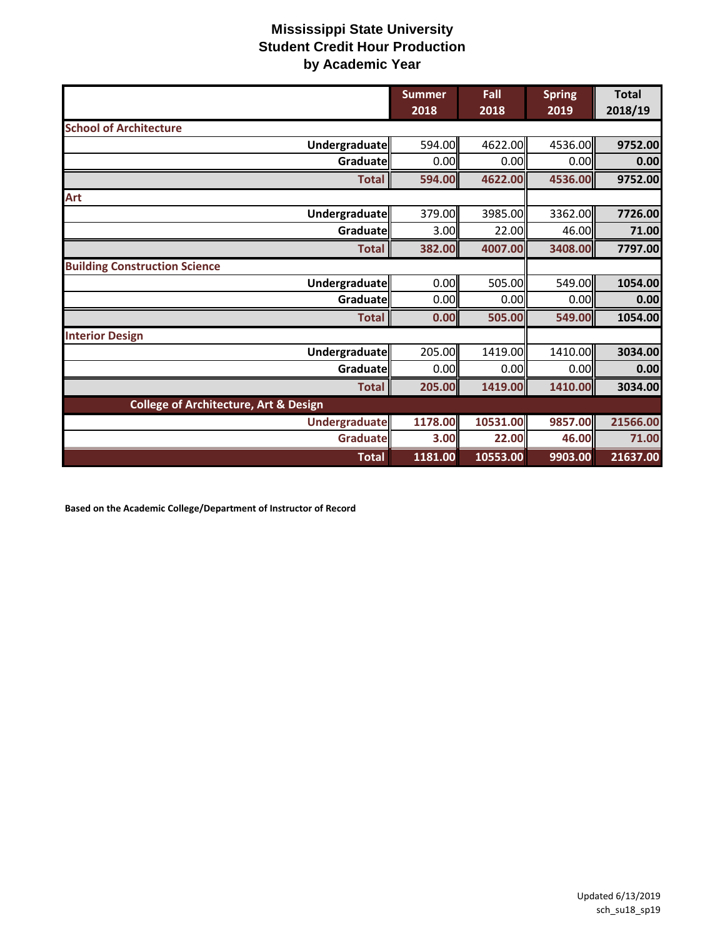|                                                  | <b>Summer</b><br>2018 | Fall<br>2018 | <b>Spring</b><br>2019 | <b>Total</b><br>2018/19 |
|--------------------------------------------------|-----------------------|--------------|-----------------------|-------------------------|
| <b>School of Architecture</b>                    |                       |              |                       |                         |
| Undergraduate                                    | 594.00                | 4622.00      | 4536.00               | 9752.00                 |
| Graduate                                         | 0.00                  | 0.00         | 0.00                  | 0.00                    |
| <b>Total</b>                                     | 594.00                | 4622.00      | 4536.00               | 9752.00                 |
| Art                                              |                       |              |                       |                         |
| Undergraduate                                    | 379.00                | 3985.00      | 3362.00               | 7726.00                 |
| Graduate                                         | 3.00                  | 22.00        | 46.00                 | 71.00                   |
| <b>Total</b>                                     | 382.00                | 4007.00      | 3408.00               | 7797.00                 |
| <b>Building Construction Science</b>             |                       |              |                       |                         |
| Undergraduate                                    | 0.00                  | 505.00       | 549.00                | 1054.00                 |
| Graduate                                         | 0.00                  | 0.00         | 0.00                  | 0.00                    |
| <b>Total</b>                                     | 0.00                  | 505.00       | 549.00                | 1054.00                 |
| <b>Interior Design</b>                           |                       |              |                       |                         |
| Undergraduate                                    | 205.00                | 1419.00      | 1410.00               | 3034.00                 |
| Graduate                                         | 0.00                  | 0.00         | 0.00                  | 0.00                    |
| <b>Total</b>                                     | 205.00                | 1419.00      | 1410.00               | 3034.00                 |
| <b>College of Architecture, Art &amp; Design</b> |                       |              |                       |                         |
| <b>Undergraduate</b>                             | 1178.00               | 10531.00     | 9857.00               | 21566.00                |
| Graduate                                         | 3.00                  | 22.00        | 46.00                 | 71.00                   |
| <b>Total</b>                                     | 1181.00               | 10553.00     | 9903.00               | 21637.00                |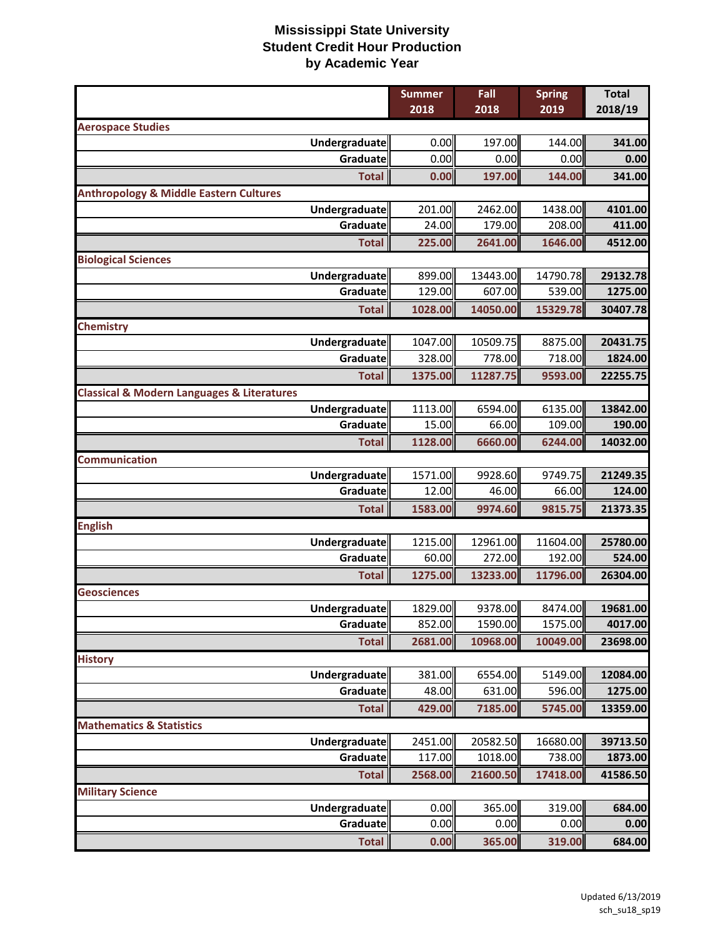|                                                           | <b>Summer</b><br>2018 | Fall<br>2018        | <b>Spring</b><br>2019 | <b>Total</b><br>2018/19 |
|-----------------------------------------------------------|-----------------------|---------------------|-----------------------|-------------------------|
| <b>Aerospace Studies</b>                                  |                       |                     |                       |                         |
| <b>Undergraduate</b>                                      | 0.00                  | 197.00              | 144.00                | 341.00                  |
| Graduate                                                  | 0.00                  | 0.00                | 0.00                  | 0.00                    |
| <b>Total</b>                                              | 0.00                  | 197.00              | 144.00                | 341.00                  |
| <b>Anthropology &amp; Middle Eastern Cultures</b>         |                       |                     |                       |                         |
| Undergraduate                                             | 201.00                | 2462.00             | 1438.00               | 4101.00                 |
| Graduate                                                  | 24.00                 | 179.00              | 208.00                | 411.00                  |
| <b>Total</b>                                              | 225.00                | 2641.00             | 1646.00               | 4512.00                 |
| <b>Biological Sciences</b>                                |                       |                     |                       |                         |
| Undergraduate                                             | 899.00                | 13443.00            | 14790.78              | 29132.78                |
| Graduate                                                  | 129.00                | 607.00              | 539.00                | 1275.00                 |
| <b>Total</b>                                              | 1028.00               | 14050.00            | 15329.78              | 30407.78                |
| Chemistry                                                 |                       |                     |                       |                         |
| Undergraduate                                             | 1047.00               | 10509.75            | 8875.00               | 20431.75                |
| Graduate                                                  | 328.00                | 778.00              | 718.00                | 1824.00                 |
| <b>Total</b>                                              | 1375.00               | 11287.75            | 9593.00               | 22255.75                |
| <b>Classical &amp; Modern Languages &amp; Literatures</b> |                       |                     |                       |                         |
| Undergraduate                                             | 1113.00               | 6594.00             | 6135.00               | 13842.00                |
| Graduate                                                  | 15.00                 | 66.00               | 109.00                | 190.00                  |
| <b>Total</b>                                              | 1128.00               | 6660.00             | 6244.00               | 14032.00                |
| <b>Communication</b>                                      |                       |                     |                       |                         |
| Undergraduate                                             | 1571.00               | 9928.60             | 9749.75               | 21249.35                |
| Graduate                                                  | 12.00                 | 46.00               | 66.00                 | 124.00                  |
| <b>Total</b>                                              | 1583.00               | 9974.60             | 9815.75               | 21373.35                |
| <b>English</b>                                            |                       |                     |                       |                         |
| Undergraduate                                             | 1215.00               | 12961.00            | 11604.00              | 25780.00                |
| Graduate                                                  | 60.00                 | 272.00              | 192.00                | 524.00                  |
| <b>Total</b>                                              | 1275.00               | 13233.00            | 11796.00              | 26304.00                |
| <b>Geosciences</b>                                        |                       |                     |                       |                         |
| <b>Undergraduate</b>                                      | 1829.00               | 9378.00             | 8474.00               | 19681.00                |
| Graduate                                                  | 852.00                | 1590.00             | 1575.00               | 4017.00                 |
| <b>Total</b>                                              | 2681.00               | 10968.00            | 10049.00              | 23698.00                |
| <b>History</b>                                            |                       |                     |                       |                         |
| Undergraduate                                             | 381.00                | 6554.00             | 5149.00               | 12084.00                |
| Graduate                                                  | 48.00                 | 631.00              | 596.00                | 1275.00                 |
| <b>Total</b>                                              | 429.00                | 7185.00             | 5745.00               | 13359.00                |
| <b>Mathematics &amp; Statistics</b>                       |                       |                     |                       |                         |
| Undergraduate                                             | 2451.00               | 20582.50<br>1018.00 | 16680.00<br>738.00    | 39713.50                |
| Graduate                                                  | 117.00                |                     |                       | 1873.00                 |
| <b>Total</b>                                              | 2568.00               | 21600.50            | 17418.00              | 41586.50                |
| <b>Military Science</b>                                   |                       |                     |                       |                         |
| <b>Undergraduate</b><br>Graduate                          | 0.00<br>0.00          | 365.00<br>0.00      | 319.00<br>0.00        | 684.00<br>0.00          |
|                                                           |                       |                     |                       |                         |
| <b>Total</b>                                              | 0.00                  | 365.00              | 319.00                | 684.00                  |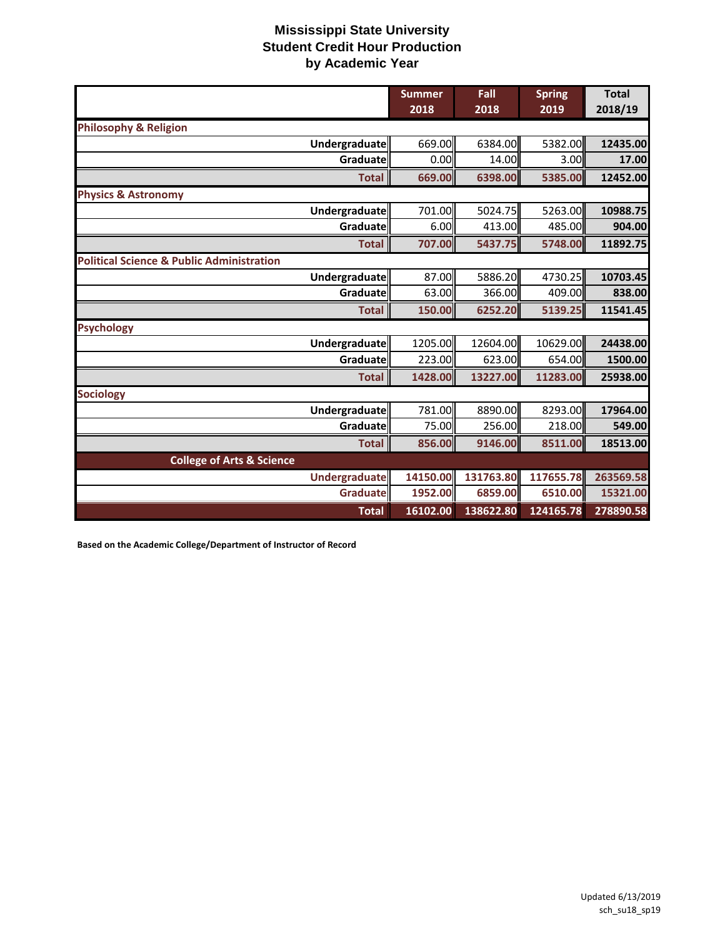|                                                      | <b>Summer</b><br>2018 | Fall<br>2018 | <b>Spring</b><br>2019 | <b>Total</b><br>2018/19 |
|------------------------------------------------------|-----------------------|--------------|-----------------------|-------------------------|
| <b>Philosophy &amp; Religion</b>                     |                       |              |                       |                         |
| Undergraduate                                        | 669.00                | 6384.00      | 5382.00               | 12435.00                |
| Graduate                                             | 0.00                  | 14.00        | 3.00                  | 17.00                   |
| <b>Total</b>                                         | 669.00                | 6398.00      | 5385.00               | 12452.00                |
| <b>Physics &amp; Astronomy</b>                       |                       |              |                       |                         |
| <b>Undergraduate</b>                                 | 701.00                | 5024.75      | 5263.00               | 10988.75                |
| Graduate                                             | 6.00                  | 413.00       | 485.00                | 904.00                  |
| <b>Total</b>                                         | 707.00                | 5437.75      | 5748.00               | 11892.75                |
| <b>Political Science &amp; Public Administration</b> |                       |              |                       |                         |
| Undergraduate                                        | 87.00                 | 5886.20      | 4730.25               | 10703.45                |
| Graduatel                                            | 63.00                 | 366.00       | 409.00                | 838.00                  |
| <b>Total</b>                                         | 150.00                | 6252.20      | 5139.25               | 11541.45                |
| <b>Psychology</b>                                    |                       |              |                       |                         |
| Undergraduate                                        | 1205.00               | 12604.00     | 10629.00              | 24438.00                |
| Graduate                                             | 223.00                | 623.00       | 654.00                | 1500.00                 |
| <b>Total</b>                                         | 1428.00               | 13227.00     | 11283.00              | 25938.00                |
| <b>Sociology</b>                                     |                       |              |                       |                         |
| <b>Undergraduate</b>                                 | 781.00                | 8890.00      | 8293.00               | 17964.00                |
| Graduate                                             | 75.00                 | 256.00       | 218.00                | 549.00                  |
| <b>Total</b>                                         | 856.00                | 9146.00      | 8511.00               | 18513.00                |
| <b>College of Arts &amp; Science</b>                 |                       |              |                       |                         |
| <b>Undergraduate</b>                                 | 14150.00              | 131763.80    | 117655.78             | 263569.58               |
| Graduate                                             | 1952.00               | 6859.00      | 6510.00               | 15321.00                |
| <b>Total</b>                                         | 16102.00              | 138622.80    | 124165.78             | 278890.58               |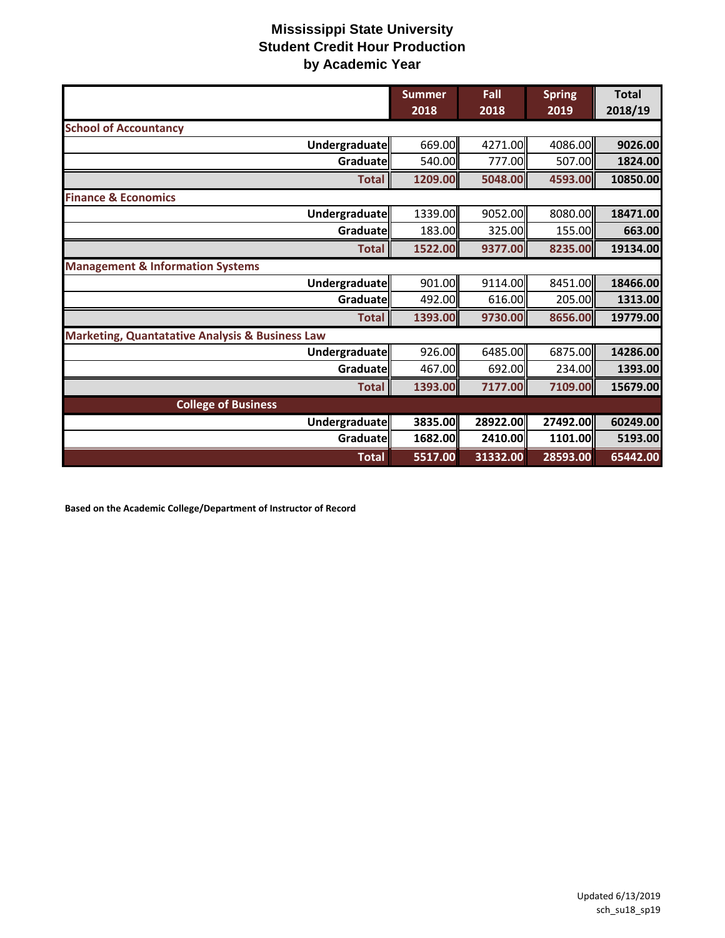|                                                            | <b>Summer</b><br>2018 | Fall<br>2018 | <b>Spring</b><br>2019 | <b>Total</b><br>2018/19 |
|------------------------------------------------------------|-----------------------|--------------|-----------------------|-------------------------|
| <b>School of Accountancy</b>                               |                       |              |                       |                         |
| Undergraduate                                              | 669.00                | 4271.00      | 4086.00               | 9026.00                 |
| Graduate                                                   | 540.00                | 777.00       | 507.00                | 1824.00                 |
| <b>Total</b>                                               | 1209.00               | 5048.00      | 4593.00               | 10850.00                |
| <b>Finance &amp; Economics</b>                             |                       |              |                       |                         |
| Undergraduate                                              | 1339.00               | 9052.00      | 8080.00               | 18471.00                |
| Graduate                                                   | 183.00                | 325.00       | 155.00                | 663.00                  |
| <b>Total</b>                                               | 1522.00               | 9377.00      | 8235.00               | 19134.00                |
| <b>Management &amp; Information Systems</b>                |                       |              |                       |                         |
| <b>Undergraduate</b>                                       | 901.00                | 9114.00      | 8451.00               | 18466.00                |
| Graduate                                                   | 492.00                | 616.00       | 205.00                | 1313.00                 |
| <b>Total</b>                                               | 1393.00               | 9730.00      | 8656.00               | 19779.00                |
| <b>Marketing, Quantatative Analysis &amp; Business Law</b> |                       |              |                       |                         |
| Undergraduate                                              | 926.00                | 6485.00      | 6875.00               | 14286.00                |
| Graduate                                                   | 467.00                | 692.00       | 234.00                | 1393.00                 |
| <b>Total</b>                                               | 1393.00               | 7177.00      | 7109.00               | 15679.00                |
| <b>College of Business</b>                                 |                       |              |                       |                         |
| Undergraduate                                              | 3835.00               | 28922.00     | 27492.00              | 60249.00                |
| Graduate                                                   | 1682.00               | 2410.00      | 1101.00               | 5193.00                 |
| <b>Total</b>                                               | 5517.00               | 31332.00     | 28593.00              | 65442.00                |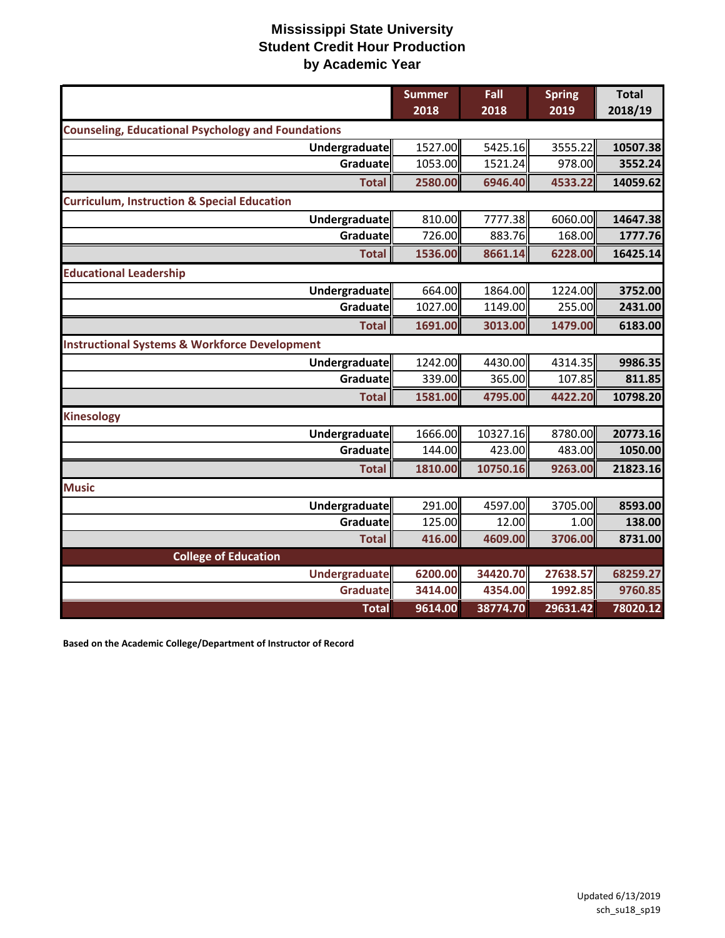|                                                           | <b>Summer</b><br>2018 | Fall<br>2018 | <b>Spring</b><br>2019 | <b>Total</b><br>2018/19 |
|-----------------------------------------------------------|-----------------------|--------------|-----------------------|-------------------------|
| <b>Counseling, Educational Psychology and Foundations</b> |                       |              |                       |                         |
| Undergraduate                                             | 1527.00               | 5425.16      | 3555.22               | 10507.38                |
| Graduate                                                  | 1053.00               | 1521.24      | 978.00                | 3552.24                 |
| <b>Total</b>                                              | 2580.00               | 6946.40      | 4533.22               | 14059.62                |
| <b>Curriculum, Instruction &amp; Special Education</b>    |                       |              |                       |                         |
| Undergraduate                                             | 810.00                | 7777.38      | 6060.00               | 14647.38                |
| Graduate                                                  | 726.00                | 883.76       | 168.00                | 1777.76                 |
| <b>Total</b>                                              | 1536.00               | 8661.14      | 6228.00               | 16425.14                |
| <b>Educational Leadership</b>                             |                       |              |                       |                         |
| Undergraduate                                             | 664.00                | 1864.00      | 1224.00               | 3752.00                 |
| Graduate                                                  | 1027.00               | 1149.00      | 255.00                | 2431.00                 |
| <b>Total</b>                                              | 1691.00               | 3013.00      | 1479.00               | 6183.00                 |
| <b>Instructional Systems &amp; Workforce Development</b>  |                       |              |                       |                         |
| Undergraduate                                             | 1242.00               | 4430.00      | 4314.35               | 9986.35                 |
| Graduate                                                  | 339.00                | 365.00       | 107.85                | 811.85                  |
| <b>Total</b>                                              | 1581.00               | 4795.00      | 4422.20               | 10798.20                |
| <b>Kinesology</b>                                         |                       |              |                       |                         |
| Undergraduate                                             | 1666.00               | 10327.16     | 8780.00               | 20773.16                |
| Graduate                                                  | 144.00                | 423.00       | 483.00                | 1050.00                 |
| <b>Total</b>                                              | 1810.00               | 10750.16     | 9263.00               | 21823.16                |
| <b>Music</b>                                              |                       |              |                       |                         |
| Undergraduate                                             | 291.00                | 4597.00      | 3705.00               | 8593.00                 |
| Graduatel                                                 | 125.00                | 12.00        | 1.00                  | 138.00                  |
| <b>Total</b>                                              | 416.00                | 4609.00      | 3706.00               | 8731.00                 |
| <b>College of Education</b>                               |                       |              |                       |                         |
| <b>Undergraduate</b>                                      | 6200.00               | 34420.70     | 27638.57              | 68259.27                |
| Graduate                                                  | 3414.00               | 4354.00      | 1992.85               | 9760.85                 |
| <b>Total</b>                                              | 9614.00               | 38774.70     | 29631.42              | 78020.12                |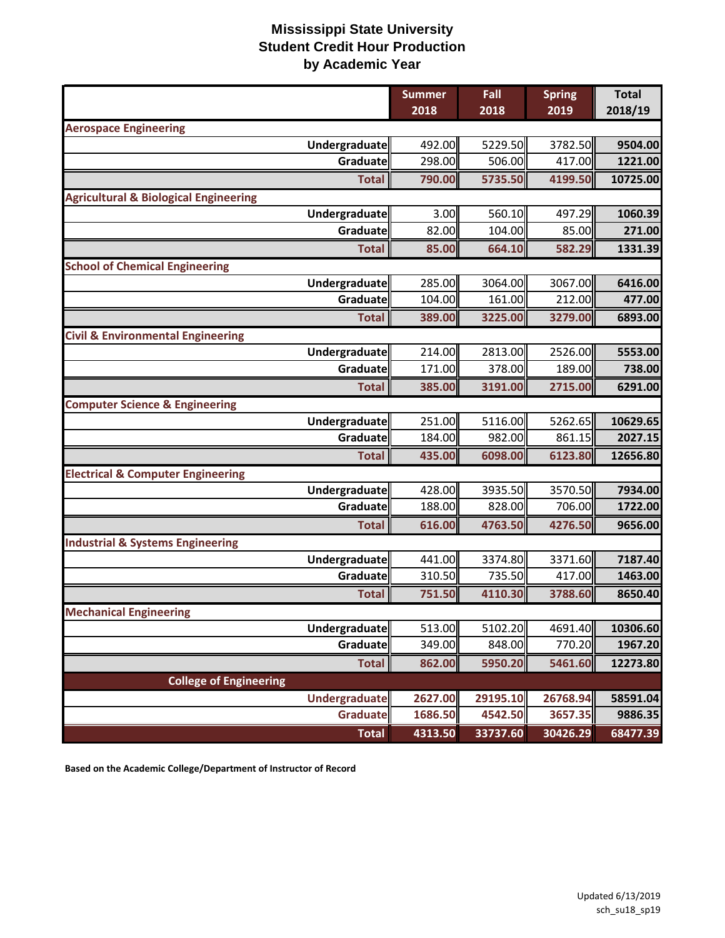|                                                  | <b>Summer</b> | Fall     | <b>Spring</b> | <b>Total</b> |
|--------------------------------------------------|---------------|----------|---------------|--------------|
|                                                  | 2018          | 2018     | 2019          | 2018/19      |
| <b>Aerospace Engineering</b>                     |               |          |               |              |
| Undergraduate                                    | 492.00        | 5229.50  | 3782.50       | 9504.00      |
| Graduate                                         | 298.00        | 506.00   | 417.00        | 1221.00      |
| <b>Total</b>                                     | 790.00        | 5735.50  | 4199.50       | 10725.00     |
| <b>Agricultural &amp; Biological Engineering</b> |               |          |               |              |
| Undergraduate                                    | 3.00          | 560.10   | 497.29        | 1060.39      |
| Graduate                                         | 82.00         | 104.00   | 85.00         | 271.00       |
| <b>Total</b>                                     | 85.00         | 664.10   | 582.29        | 1331.39      |
| <b>School of Chemical Engineering</b>            |               |          |               |              |
| Undergraduate                                    | 285.00        | 3064.00  | 3067.00       | 6416.00      |
| Graduate                                         | 104.00        | 161.00   | 212.00        | 477.00       |
| <b>Total</b>                                     | 389.00        | 3225.00  | 3279.00       | 6893.00      |
| <b>Civil &amp; Environmental Engineering</b>     |               |          |               |              |
| <b>Undergraduate</b>                             | 214.00        | 2813.00  | 2526.00       | 5553.00      |
| Graduate                                         | 171.00        | 378.00   | 189.00        | 738.00       |
| <b>Total</b>                                     | 385.00        | 3191.00  | 2715.00       | 6291.00      |
| <b>Computer Science &amp; Engineering</b>        |               |          |               |              |
| Undergraduate                                    | 251.00        | 5116.00  | 5262.65       | 10629.65     |
| Graduate                                         | 184.00        | 982.00   | 861.15        | 2027.15      |
| <b>Total</b>                                     | 435.00        | 6098.00  | 6123.80       | 12656.80     |
| <b>Electrical &amp; Computer Engineering</b>     |               |          |               |              |
| Undergraduate                                    | 428.00        | 3935.50  | 3570.50       | 7934.00      |
| Graduate                                         | 188.00        | 828.00   | 706.00        | 1722.00      |
| <b>Total</b>                                     | 616.00        | 4763.50  | 4276.50       | 9656.00      |
| <b>Industrial &amp; Systems Engineering</b>      |               |          |               |              |
| Undergraduate                                    | 441.00        | 3374.80  | 3371.60       | 7187.40      |
| Graduate                                         | 310.50        | 735.50   | 417.00        | 1463.00      |
| <b>Total</b>                                     | 751.50        | 4110.30  | 3788.60       | 8650.40      |
| <b>Mechanical Engineering</b>                    |               |          |               |              |
| Undergraduate                                    | 513.00        | 5102.20  | 4691.40       | 10306.60     |
| Graduate                                         | 349.00        | 848.00   | 770.20        | 1967.20      |
| <b>Total</b>                                     | 862.00        | 5950.20  | 5461.60       | 12273.80     |
| <b>College of Engineering</b>                    |               |          |               |              |
| Undergraduate                                    | 2627.00       | 29195.10 | 26768.94      | 58591.04     |
| Graduate                                         | 1686.50       | 4542.50  | 3657.35       | 9886.35      |
| <b>Total</b>                                     | 4313.50       | 33737.60 | 30426.29      | 68477.39     |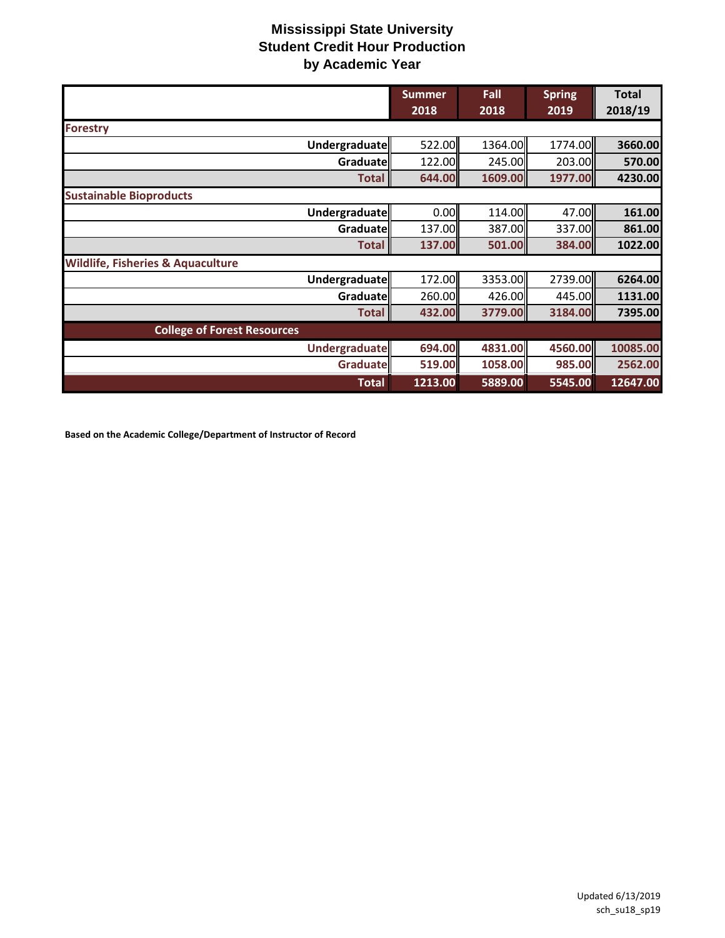|                                              | <b>Summer</b> | Fall    | <b>Spring</b>   | <b>Total</b> |
|----------------------------------------------|---------------|---------|-----------------|--------------|
|                                              | 2018          | 2018    | 2019            | 2018/19      |
| Forestry                                     |               |         |                 |              |
| Undergraduate                                | 522.00        | 1364.00 | 1774.00         | 3660.00      |
| Graduate                                     | 122.00        | 245.00  | 203.00          | 570.00       |
| <b>Total</b>                                 | 644.00        | 1609.00 | 1977.00         | 4230.00      |
| <b>Sustainable Bioproducts</b>               |               |         |                 |              |
| Undergraduate                                | 0.00          | 114.00  | 47.00           | 161.00       |
| Graduate                                     | 137.00        | 387.00  | 337.00 <b>1</b> | 861.00       |
| <b>Total</b>                                 | 137.00        | 501.00  | 384.00          | 1022.00      |
| <b>Wildlife, Fisheries &amp; Aquaculture</b> |               |         |                 |              |
| Undergraduate                                | 172.00        | 3353.00 | 2739.00         | 6264.00      |
| Graduate                                     | 260.00        | 426.00  | 445.00          | 1131.00      |
| <b>Total</b>                                 | 432.00        | 3779.00 | 3184.00         | 7395.00      |
| <b>College of Forest Resources</b>           |               |         |                 |              |
| Undergraduate                                | 694.00        | 4831.00 | 4560.00         | 10085.00     |
| Graduate                                     | 519.00        | 1058.00 | 985.00          | 2562.00      |
| <b>Total</b>                                 | 1213.00       | 5889.00 | 5545.00         | 12647.00     |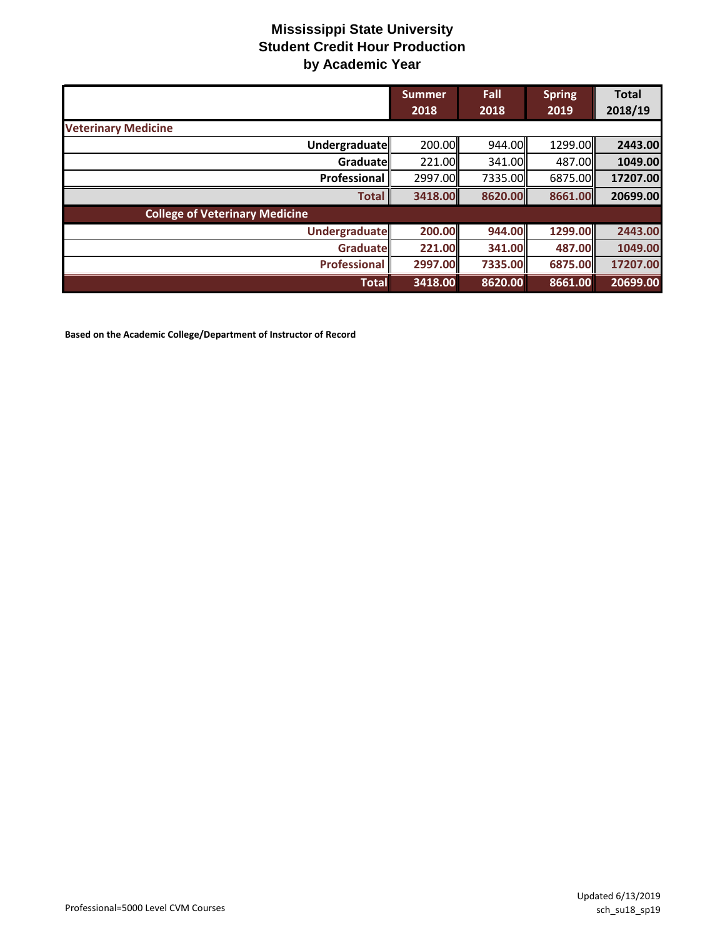|                                       | <b>Summer</b><br>2018 | Fall<br>2018  | <b>Spring</b><br>2019 | <b>Total</b><br>2018/19 |
|---------------------------------------|-----------------------|---------------|-----------------------|-------------------------|
| <b>Veterinary Medicine</b>            |                       |               |                       |                         |
| Undergraduate                         | 200.00                | 944.00        | 1299.00               | 2443.00                 |
| Graduate                              | 221.00                | 341.00        | 487.00 <b>1</b>       | 1049.00                 |
| Professional                          | 2997.00               | 7335.00       | 6875.00               | 17207.00                |
| <b>Total</b>                          | 3418.00               | 8620.00       | 8661.00               | 20699.00                |
| <b>College of Veterinary Medicine</b> |                       |               |                       |                         |
| <b>Undergraduate</b>                  | 200.00                | 944.00        | 1299.00               | 2443.00                 |
| <b>Graduate</b>                       | 221.00                | <b>341.00</b> | 487.00                | 1049.00                 |
| <b>Professional</b>                   | 2997.00               | 7335.00       | 6875.00               | 17207.00                |
| <b>Total</b>                          | 3418.00               | 8620.00       | 8661.00               | 20699.00                |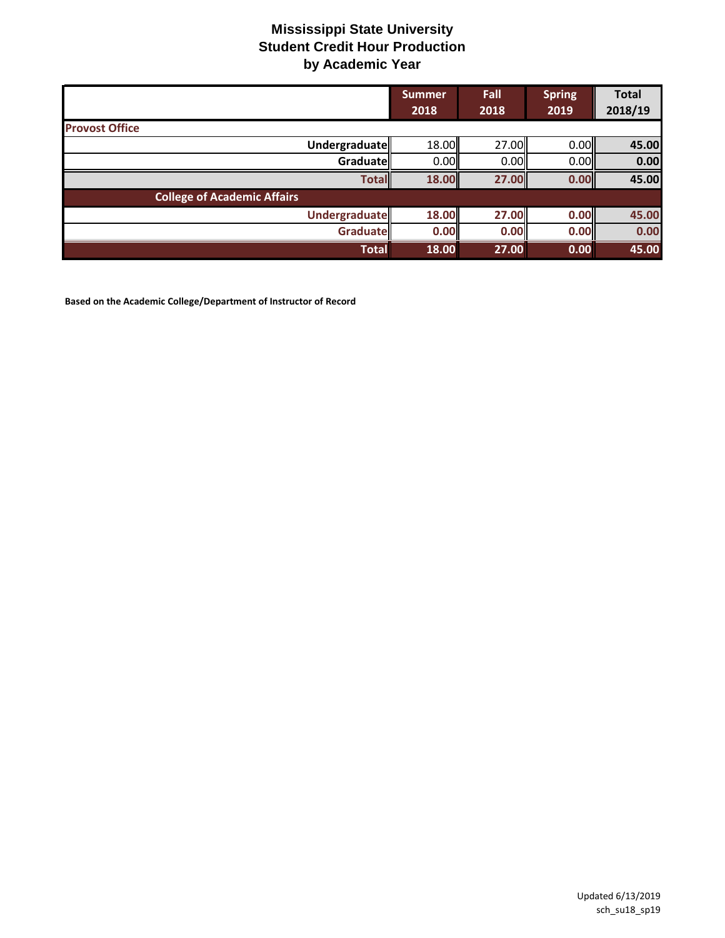|                                    | <b>Summer</b><br>2018 | Fall<br>2018 | <b>Spring</b><br>2019 | <b>Total</b><br>2018/19 |
|------------------------------------|-----------------------|--------------|-----------------------|-------------------------|
| <b>Provost Office</b>              |                       |              |                       |                         |
| Undergraduate                      | 18.00                 | 27.00        | 0.00                  | 45.00                   |
| Graduate                           | 0.00                  | 0.00         | 0.00                  | 0.00                    |
| <b>Total</b>                       | 18.00                 | 27.00        | 0.00                  | 45.00                   |
| <b>College of Academic Affairs</b> |                       |              |                       |                         |
| <b>Undergraduate</b>               | 18.00                 | 27.00        | 0.00                  | 45.00                   |
| Graduate                           | 0.00                  | 0.00         | 0.00                  | 0.00                    |
| <b>Total</b>                       | 18.00                 | 27.00        | 0.00                  | 45.00                   |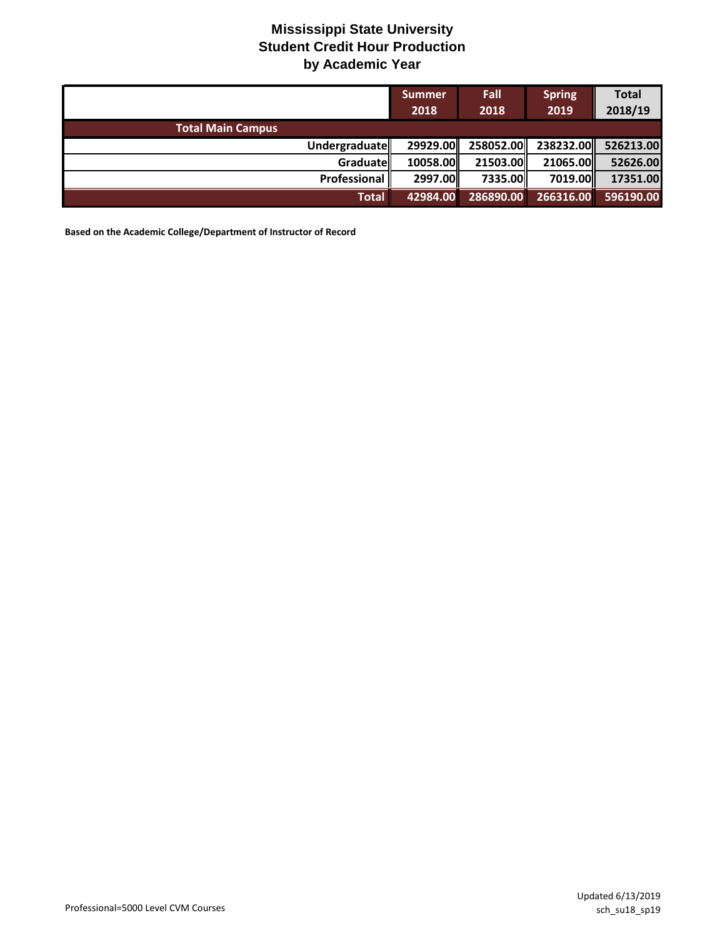|                          | <b>Summer</b><br>2018 | <b>Fall</b><br>2018 | <b>Spring</b><br>2019 | <b>Total</b><br>2018/19 |
|--------------------------|-----------------------|---------------------|-----------------------|-------------------------|
| <b>Total Main Campus</b> |                       |                     |                       |                         |
| Undergraduate            | 29929.00              |                     | 258052.00 238232.00   | 526213.00               |
| Graduate                 | 10058.00              | 21503.00            | 21065.00              | 52626.00                |
| Professional             | 2997.00               | 7335.00             | 7019.00               | 17351.00                |
| <b>Total</b>             | 42984.00              | 286890.00           | 266316.00             | 596190.00               |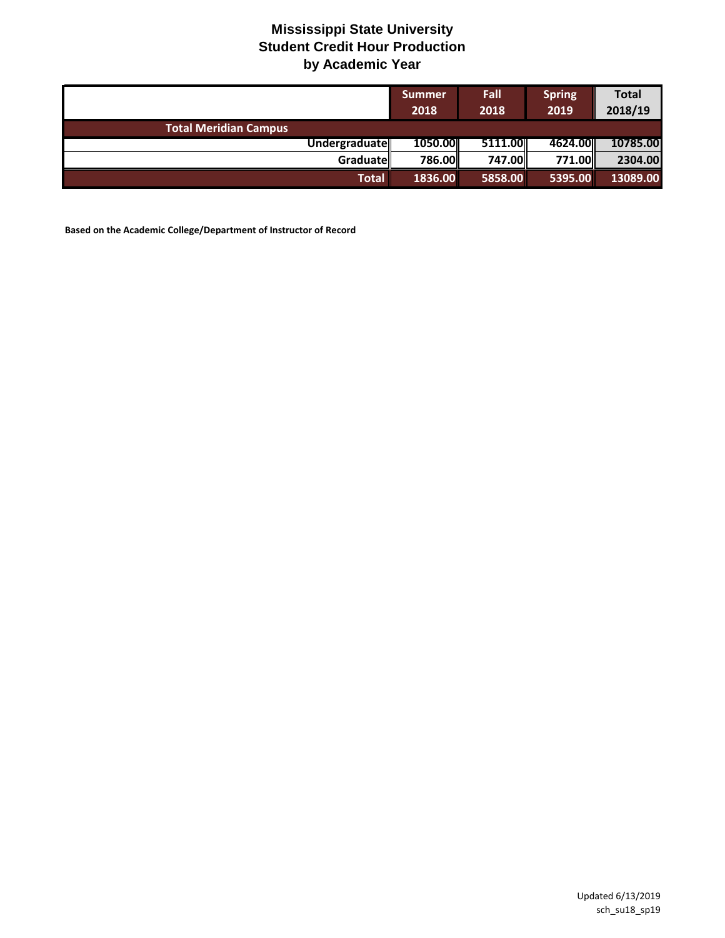|                              | <b>Summer</b><br>2018 | <b>Fall</b><br>2018 | <b>Spring</b><br>2019 | <b>Total</b><br>2018/19 |
|------------------------------|-----------------------|---------------------|-----------------------|-------------------------|
| <b>Total Meridian Campus</b> |                       |                     |                       |                         |
| Undergraduate                | 1050.00               | 5111.00             | 4624.00               | 10785.00                |
| <b>Graduate</b>              | 786.00                | 747.00              | 771.00 <b>1</b>       | 2304.00                 |
| <b>Total</b>                 | 1836.00               | 5858.00             | 5395.00               | 13089.00                |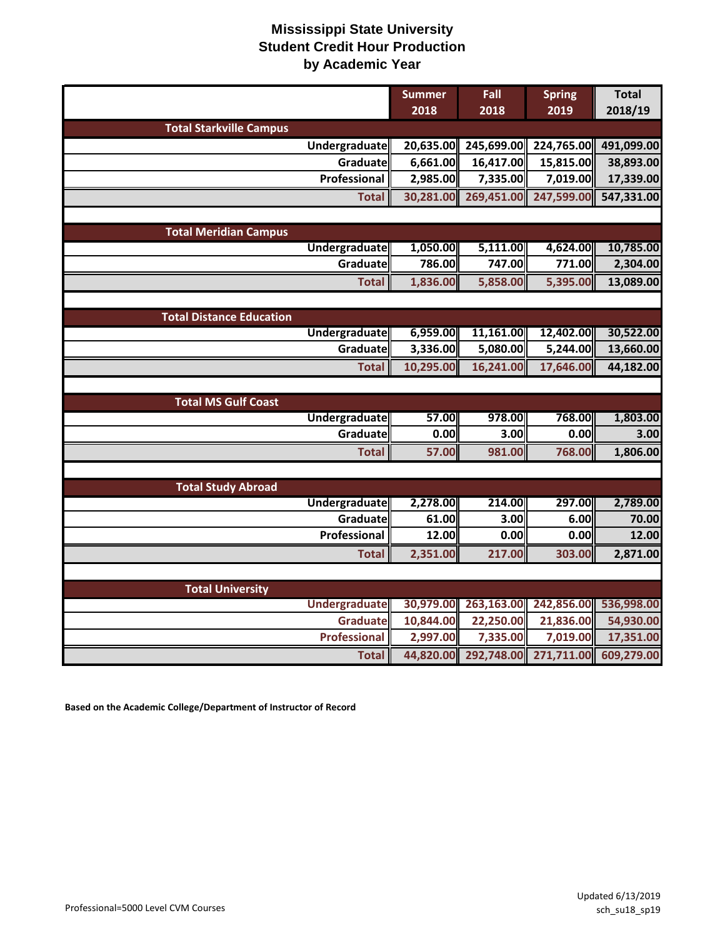|                                 | <b>Summer</b> | Fall       | <b>Spring</b> | <b>Total</b> |
|---------------------------------|---------------|------------|---------------|--------------|
|                                 | 2018          | 2018       | 2019          | 2018/19      |
| <b>Total Starkville Campus</b>  |               |            |               |              |
| Undergraduate                   | 20,635.00     | 245,699.00 | 224,765.00    | 491,099.00   |
| Graduate                        | 6,661.00      | 16,417.00  | 15,815.00     | 38,893.00    |
| Professional                    | 2,985.00      | 7,335.00   | 7,019.00      | 17,339.00    |
| <b>Total</b>                    | 30,281.00     | 269,451.00 | 247,599.00    | 547,331.00   |
|                                 |               |            |               |              |
| <b>Total Meridian Campus</b>    |               |            |               |              |
| <b>Undergraduate</b>            | 1,050.00      | 5,111.00   | 4,624.00      | 10,785.00    |
| Graduate                        | 786.00        | 747.00     | 771.00        | 2,304.00     |
| <b>Total</b>                    | 1,836.00      | 5,858.00   | 5,395.00      | 13,089.00    |
|                                 |               |            |               |              |
| <b>Total Distance Education</b> |               |            |               |              |
| <b>Undergraduate</b>            | 6,959.00      | 11,161.00  | 12,402.00     | 30,522.00    |
| Graduate                        | 3,336.00      | 5,080.00   | 5,244.00      | 13,660.00    |
| <b>Total</b>                    | 10,295.00     | 16,241.00  | 17,646.00     | 44,182.00    |
|                                 |               |            |               |              |
| <b>Total MS Gulf Coast</b>      |               |            |               |              |
| <b>Undergraduate</b>            | 57.00         | 978.00     | 768.00        | 1,803.00     |
| Graduate                        | 0.00          | 3.00       | 0.00          | 3.00         |
| <b>Total</b>                    | 57.00         | 981.00     | 768.00        | 1,806.00     |
|                                 |               |            |               |              |
| <b>Total Study Abroad</b>       |               |            |               |              |
| Undergraduate                   | 2,278.00      | 214.00     | 297.00        | 2,789.00     |
| Graduate                        | 61.00         | 3.00       | 6.00          | 70.00        |
| Professional                    | 12.00         | 0.00       | 0.00          | 12.00        |
| <b>Total</b>                    | 2,351.00      | 217.00     | 303.00        | 2,871.00     |
|                                 |               |            |               |              |
| <b>Total University</b>         |               |            |               |              |
| <b>Undergraduate</b>            | 30,979.00     | 263,163.00 | 242,856.00    | 536,998.00   |
| <b>Graduate</b>                 | 10,844.00     | 22,250.00  | 21,836.00     | 54,930.00    |
| <b>Professional</b>             | 2,997.00      | 7,335.00   | 7,019.00      | 17,351.00    |
| <b>Total</b>                    | 44,820.00     | 292,748.00 | 271,711.00    | 609,279.00   |